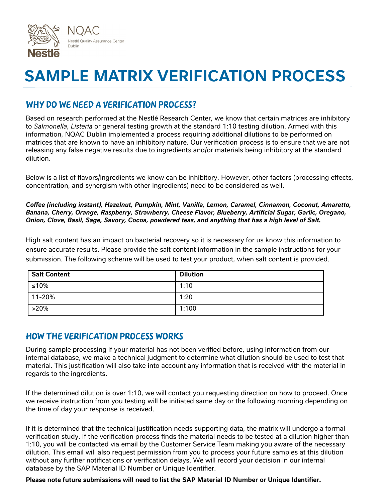

# **SAMPLE MATRIX VERIFICATION PROCESS**

### Why do we need a verification process?

Based on research performed at the Nestlé Research Center, we know that certain matrices are inhibitory to *Salmonella*, *Listeria* or general testing growth at the standard 1:10 testing dilution. Armed with this information, NQAC Dublin implemented a process requiring additional dilutions to be performed on matrices that are known to have an inhibitory nature. Our verification process is to ensure that we are not releasing any false negative results due to ingredients and/or materials being inhibitory at the standard dilution.

Below is a list of flavors/ingredients we know can be inhibitory. However, other factors (processing effects, concentration, and synergism with other ingredients) need to be considered as well.

*Coffee (including instant), Hazelnut, Pumpkin, Mint, Vanilla, Lemon, Caramel, Cinnamon, Coconut, Amaretto, Banana, Cherry, Orange, Raspberry, Strawberry, Cheese Flavor, Blueberry, Artificial Sugar, Garlic, Oregano, Onion, Clove, Basil, Sage, Savory, Cocoa, powdered teas, and anything that has a high level of Salt.*

High salt content has an impact on bacterial recovery so it is necessary for us know this information to ensure accurate results. Please provide the salt content information in the sample instructions for your submission. The following scheme will be used to test your product, when salt content is provided.

| <b>Salt Content</b> | <b>Dilution</b> |
|---------------------|-----------------|
| ≤10%                | 1:10            |
| 11-20%              | 1:20            |
| $>20\%$             | 1:100           |

#### How the Verification Process Works

During sample processing if your material has not been verified before, using information from our internal database, we make a technical judgment to determine what dilution should be used to test that material. This justification will also take into account any information that is received with the material in regards to the ingredients.

If the determined dilution is over 1:10, we will contact you requesting direction on how to proceed. Once we receive instruction from you testing will be initiated same day or the following morning depending on the time of day your response is received.

If it is determined that the technical justification needs supporting data, the matrix will undergo a formal verification study. If the verification process finds the material needs to be tested at a dilution higher than 1:10, you will be contacted via email by the Customer Service Team making you aware of the necessary dilution. This email will also request permission from you to process your future samples at this dilution without any further notifications or verification delays. We will record your decision in our internal database by the SAP Material ID Number or Unique Identifier.

**Please note future submissions will need to list the SAP Material ID Number or Unique Identifier.**